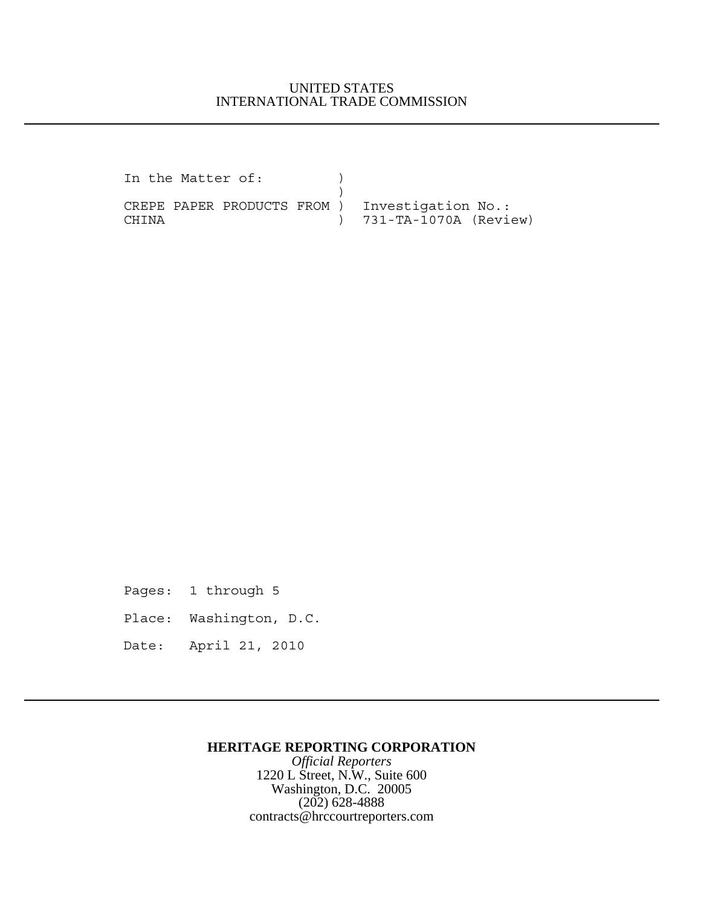## UNITED STATES INTERNATIONAL TRADE COMMISSION

In the Matter of: ) ) CREPE PAPER PRODUCTS FROM ) Investigation No.: CHINA ) 731-TA-1070A (Review)

Pages: 1 through 5

Place: Washington, D.C.

Date: April 21, 2010

## **HERITAGE REPORTING CORPORATION**

*Official Reporters* 1220 L Street, N.W., Suite 600 Washington, D.C. 20005 (202) 628-4888 contracts@hrccourtreporters.com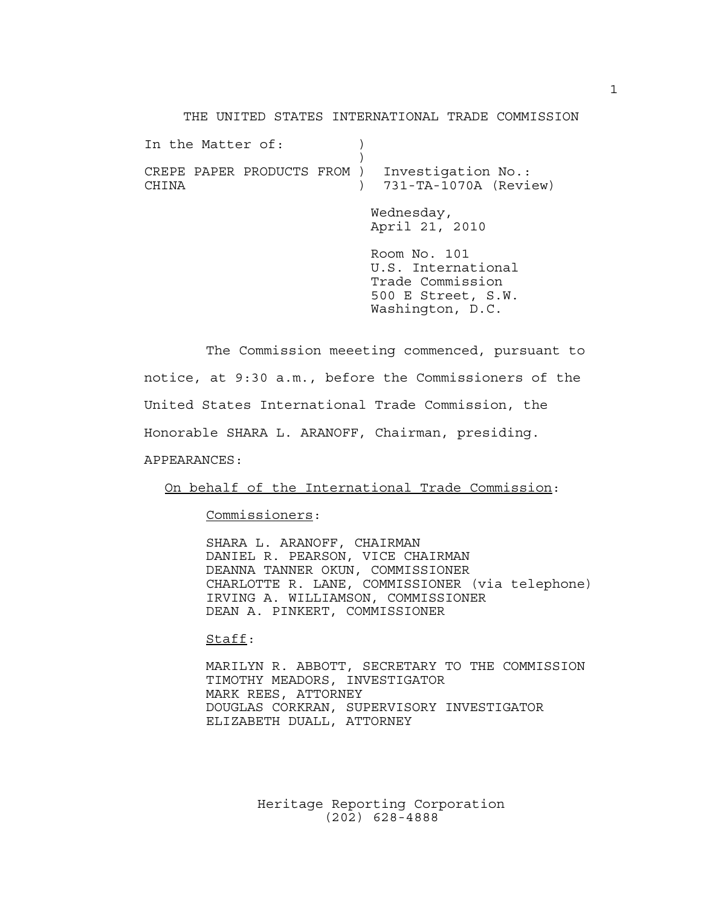THE UNITED STATES INTERNATIONAL TRADE COMMISSION

|       | In the Matter of: |                             |  |                                                                                                  |
|-------|-------------------|-----------------------------|--|--------------------------------------------------------------------------------------------------|
| CHTNA |                   | CREPE PAPER PRODUCTS FROM ) |  | Investigation No.:<br>731-TA-1070A (Review)                                                      |
|       |                   |                             |  | Wednesday,<br>April 21, 2010                                                                     |
|       |                   |                             |  | Room No. 101<br>U.S. International<br>Trade Commission<br>500 E Street, S.W.<br>Washington, D.C. |

The Commission meeeting commenced, pursuant to notice, at 9:30 a.m., before the Commissioners of the United States International Trade Commission, the Honorable SHARA L. ARANOFF, Chairman, presiding. APPEARANCES:

On behalf of the International Trade Commission:

Commissioners:

SHARA L. ARANOFF, CHAIRMAN DANIEL R. PEARSON, VICE CHAIRMAN DEANNA TANNER OKUN, COMMISSIONER CHARLOTTE R. LANE, COMMISSIONER (via telephone) IRVING A. WILLIAMSON, COMMISSIONER DEAN A. PINKERT, COMMISSIONER

Staff:

MARILYN R. ABBOTT, SECRETARY TO THE COMMISSION TIMOTHY MEADORS, INVESTIGATOR MARK REES, ATTORNEY DOUGLAS CORKRAN, SUPERVISORY INVESTIGATOR ELIZABETH DUALL, ATTORNEY

> Heritage Reporting Corporation (202) 628-4888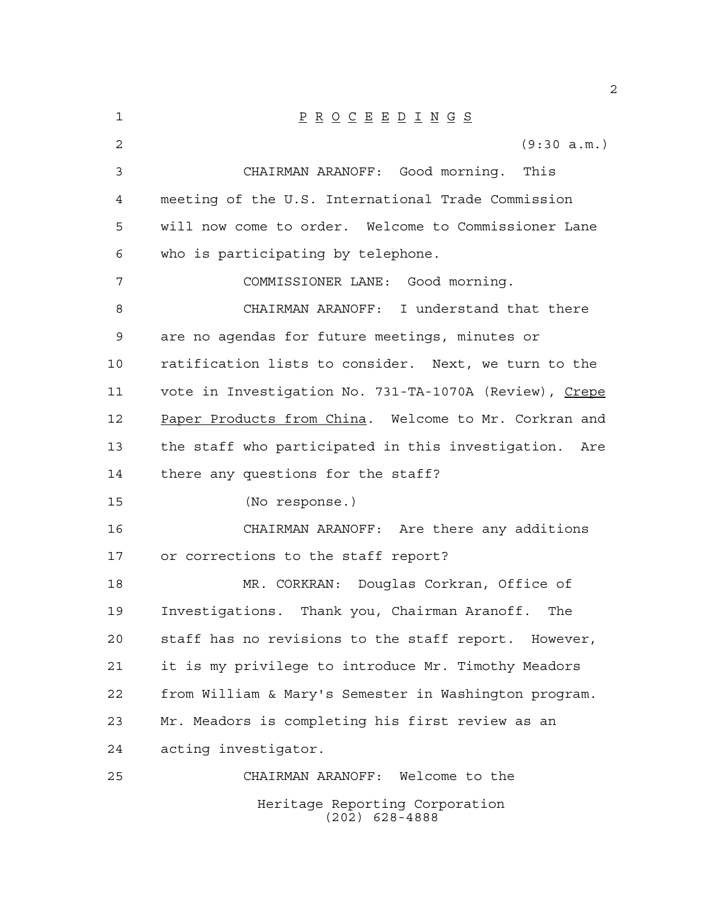| 1  | $\underline{P} \underline{R} \underline{O} \underline{C} \underline{E} \underline{E} \underline{D} \underline{I} \underline{N} \underline{G} \underline{S}$ |
|----|-------------------------------------------------------------------------------------------------------------------------------------------------------------|
| 2  | (9:30 a.m.)                                                                                                                                                 |
| 3  | CHAIRMAN ARANOFF: Good morning. This                                                                                                                        |
| 4  | meeting of the U.S. International Trade Commission                                                                                                          |
| 5  | will now come to order. Welcome to Commissioner Lane                                                                                                        |
| 6  | who is participating by telephone.                                                                                                                          |
| 7  | COMMISSIONER LANE: Good morning.                                                                                                                            |
| 8  | CHAIRMAN ARANOFF: I understand that there                                                                                                                   |
| 9  | are no agendas for future meetings, minutes or                                                                                                              |
| 10 | ratification lists to consider. Next, we turn to the                                                                                                        |
| 11 | vote in Investigation No. 731-TA-1070A (Review), Crepe                                                                                                      |
| 12 | Paper Products from China. Welcome to Mr. Corkran and                                                                                                       |
| 13 | the staff who participated in this investigation.<br>Are                                                                                                    |
| 14 | there any questions for the staff?                                                                                                                          |
| 15 | (No response.)                                                                                                                                              |
| 16 | CHAIRMAN ARANOFF: Are there any additions                                                                                                                   |
| 17 | or corrections to the staff report?                                                                                                                         |
| 18 | MR. CORKRAN: Douglas Corkran, Office of                                                                                                                     |
| 19 | Investigations. Thank you, Chairman Aranoff. The                                                                                                            |
| 20 | staff has no revisions to the staff report. However,                                                                                                        |
| 21 | it is my privilege to introduce Mr. Timothy Meadors                                                                                                         |
| 22 | from William & Mary's Semester in Washington program.                                                                                                       |
| 23 | Mr. Meadors is completing his first review as an                                                                                                            |
| 24 | acting investigator.                                                                                                                                        |
| 25 | CHAIRMAN ARANOFF: Welcome to the                                                                                                                            |
|    | Heritage Reporting Corporation<br>$(202)$ 628-4888                                                                                                          |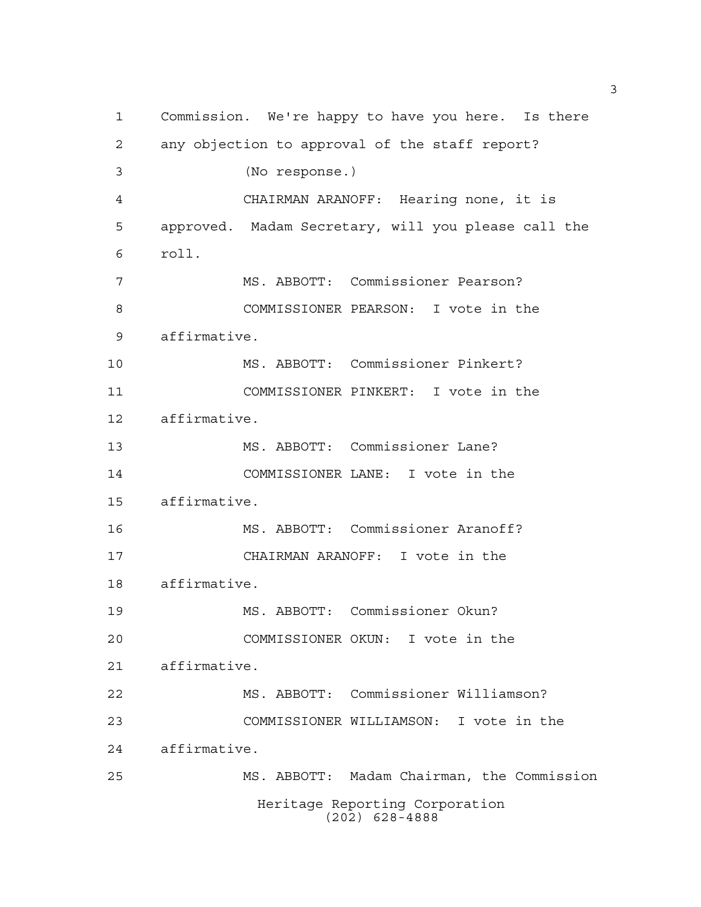Commission. We're happy to have you here. Is there any objection to approval of the staff report? (No response.) CHAIRMAN ARANOFF: Hearing none, it is approved. Madam Secretary, will you please call the roll. MS. ABBOTT: Commissioner Pearson? COMMISSIONER PEARSON: I vote in the affirmative. MS. ABBOTT: Commissioner Pinkert? COMMISSIONER PINKERT: I vote in the affirmative. MS. ABBOTT: Commissioner Lane? COMMISSIONER LANE: I vote in the affirmative. MS. ABBOTT: Commissioner Aranoff? CHAIRMAN ARANOFF: I vote in the affirmative. MS. ABBOTT: Commissioner Okun? COMMISSIONER OKUN: I vote in the affirmative. MS. ABBOTT: Commissioner Williamson? COMMISSIONER WILLIAMSON: I vote in the affirmative. MS. ABBOTT: Madam Chairman, the Commission Heritage Reporting Corporation (202) 628-4888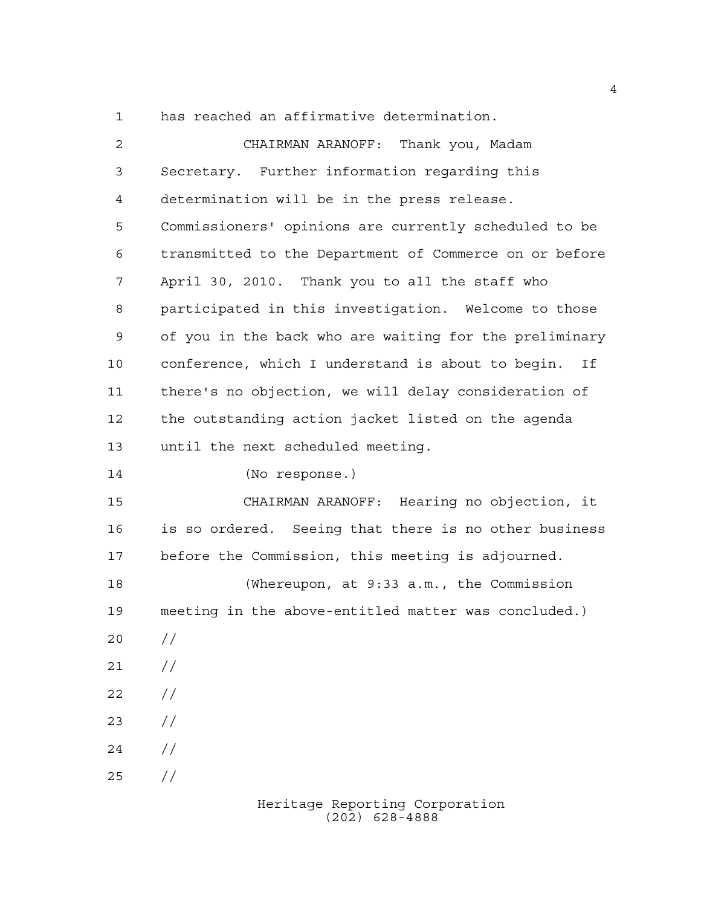has reached an affirmative determination.

| 2  | CHAIRMAN ARANOFF: Thank you, Madam                      |
|----|---------------------------------------------------------|
| 3  | Secretary. Further information regarding this           |
| 4  | determination will be in the press release.             |
| 5  | Commissioners' opinions are currently scheduled to be   |
| 6  | transmitted to the Department of Commerce on or before  |
| 7  | April 30, 2010. Thank you to all the staff who          |
| 8  | participated in this investigation. Welcome to those    |
| 9  | of you in the back who are waiting for the preliminary  |
| 10 | conference, which I understand is about to begin.<br>If |
| 11 | there's no objection, we will delay consideration of    |
| 12 | the outstanding action jacket listed on the agenda      |
| 13 | until the next scheduled meeting.                       |
| 14 | (No response.)                                          |
| 15 | CHAIRMAN ARANOFF: Hearing no objection, it              |
| 16 | is so ordered. Seeing that there is no other business   |
| 17 | before the Commission, this meeting is adjourned.       |
| 18 | (Whereupon, at 9:33 a.m., the Commission                |
| 19 | meeting in the above-entitled matter was concluded.)    |
| 20 | $\frac{1}{2}$                                           |
| 21 | $\frac{1}{2}$                                           |
| 22 | $\frac{1}{2}$                                           |
| 23 | $\frac{1}{2}$                                           |
| 24 | $\frac{1}{2}$                                           |
| 25 | //                                                      |
|    |                                                         |

Heritage Reporting Corporation (202) 628-4888